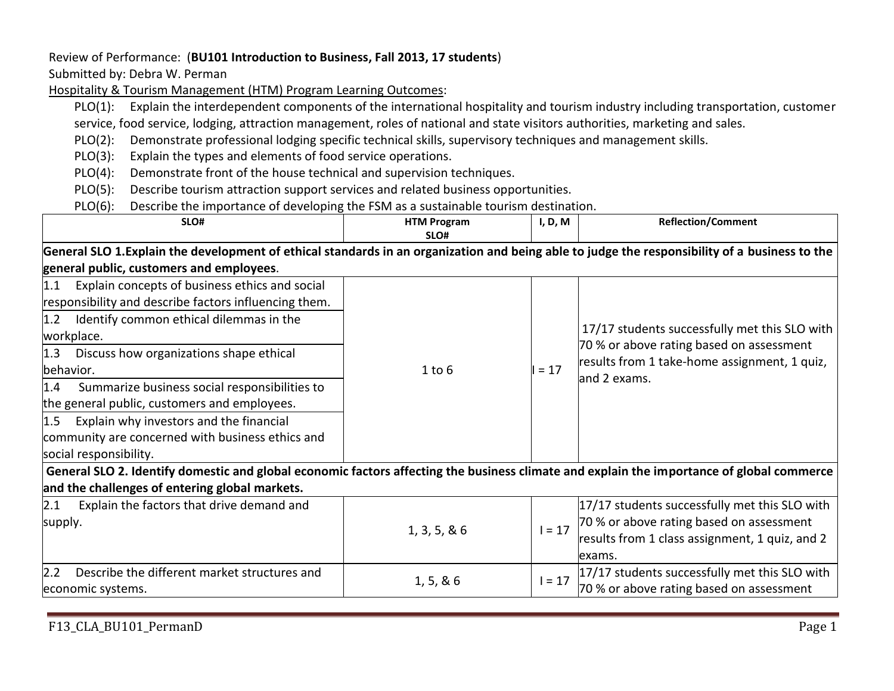# Review of Performance: (**BU101 Introduction to Business, Fall 2013, 17 students**)

Submitted by: Debra W. Perman

Hospitality & Tourism Management (HTM) Program Learning Outcomes:

PLO(1): Explain the interdependent components of the international hospitality and tourism industry including transportation, customer service, food service, lodging, attraction management, roles of national and state visitors authorities, marketing and sales.

- PLO(2): Demonstrate professional lodging specific technical skills, supervisory techniques and management skills.
- PLO(3): Explain the types and elements of food service operations.
- PLO(4): Demonstrate front of the house technical and supervision techniques.
- PLO(5): Describe tourism attraction support services and related business opportunities.
- PLO(6): Describe the importance of developing the FSM as a sustainable tourism destination.

| SLO#<br>$   -$ | - 17<br>. .<br>м,<br>am. | , M<br>U, U | omment |
|----------------|--------------------------|-------------|--------|
|                | <b>SLO#</b>              |             |        |
|                |                          |             |        |

**General SLO 1.Explain the development of ethical standards in an organization and being able to judge the responsibility of a business to the general public, customers and employees**.

| igeneral public, customers and employees.                                                                                                 |        |        |                                                                                                           |
|-------------------------------------------------------------------------------------------------------------------------------------------|--------|--------|-----------------------------------------------------------------------------------------------------------|
| Explain concepts of business ethics and social<br>1.1                                                                                     |        |        |                                                                                                           |
| responsibility and describe factors influencing them.                                                                                     |        |        |                                                                                                           |
| Identify common ethical dilemmas in the<br>$ 1.2\rangle$                                                                                  |        |        |                                                                                                           |
| workplace.                                                                                                                                |        |        | 17/17 students successfully met this SLO with                                                             |
| Discuss how organizations shape ethical<br>1.3                                                                                            |        | $= 17$ | 70 % or above rating based on assessment<br>results from 1 take-home assignment, 1 quiz,<br>land 2 exams. |
| behavior.                                                                                                                                 | 1 to 6 |        |                                                                                                           |
| Summarize business social responsibilities to<br>$ 1.4\rangle$                                                                            |        |        |                                                                                                           |
| the general public, customers and employees.                                                                                              |        |        |                                                                                                           |
| $1.5$ Explain why investors and the financial                                                                                             |        |        |                                                                                                           |
| community are concerned with business ethics and                                                                                          |        |        |                                                                                                           |
| social responsibility.                                                                                                                    |        |        |                                                                                                           |
| General SLO 2. Identify domestic and global economic factors affecting the business climate and explain the importance of global commerce |        |        |                                                                                                           |

## **and the challenges of entering global markets.**

| 2.1<br>Explain the factors that drive demand and<br>supply.              | 1, 3, 5, 8, 6 | $1 = 17$ | 17/17 students successfully met this SLO with<br>70 % or above rating based on assessment<br>results from 1 class assignment, 1 quiz, and 2<br>lexams. |
|--------------------------------------------------------------------------|---------------|----------|--------------------------------------------------------------------------------------------------------------------------------------------------------|
| Describe the different market structures and<br>2.2<br>economic systems. | 1, 5, 8, 6    | $1 = 17$ | 17/17 students successfully met this SLO with<br>70 % or above rating based on assessment                                                              |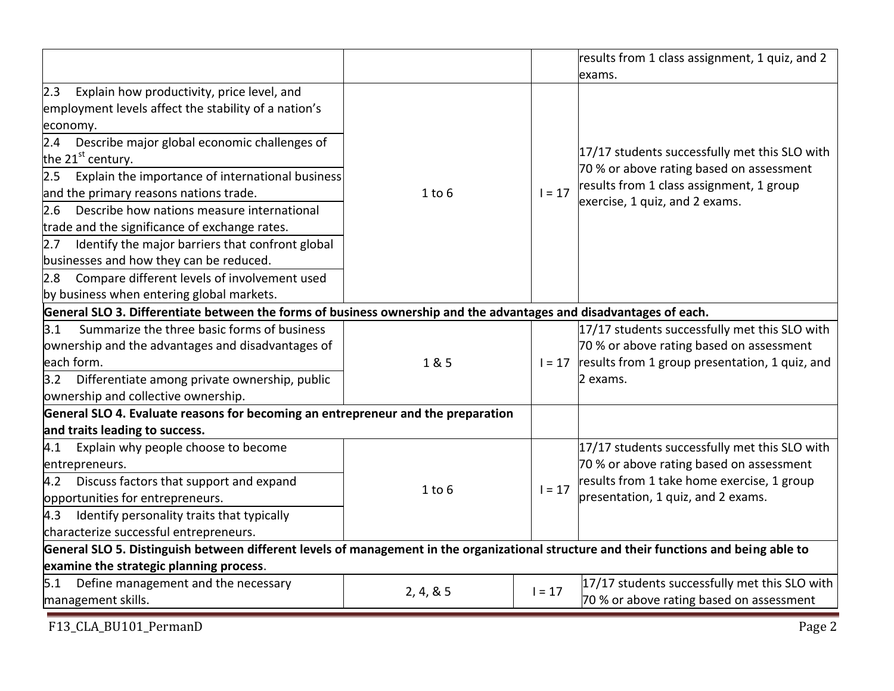|                                                                                                                                         |            |          | results from 1 class assignment, 1 quiz, and 2                                       |
|-----------------------------------------------------------------------------------------------------------------------------------------|------------|----------|--------------------------------------------------------------------------------------|
|                                                                                                                                         |            |          | exams.                                                                               |
| 2.3 Explain how productivity, price level, and                                                                                          |            |          |                                                                                      |
| employment levels affect the stability of a nation's                                                                                    |            |          |                                                                                      |
| economy.                                                                                                                                |            |          |                                                                                      |
| Describe major global economic challenges of<br>2.4                                                                                     |            |          |                                                                                      |
| the $21^{st}$ century.                                                                                                                  |            |          | 17/17 students successfully met this SLO with                                        |
| Explain the importance of international business<br>2.5                                                                                 | $1$ to $6$ |          | 70 % or above rating based on assessment<br>results from 1 class assignment, 1 group |
| and the primary reasons nations trade.                                                                                                  |            | $I = 17$ |                                                                                      |
| 2.6<br>Describe how nations measure international                                                                                       |            |          | exercise, 1 quiz, and 2 exams.                                                       |
| trade and the significance of exchange rates.                                                                                           |            |          |                                                                                      |
| Identify the major barriers that confront global<br>2.7                                                                                 |            |          |                                                                                      |
| businesses and how they can be reduced.                                                                                                 |            |          |                                                                                      |
| Compare different levels of involvement used<br>2.8                                                                                     |            |          |                                                                                      |
| by business when entering global markets.                                                                                               |            |          |                                                                                      |
| General SLO 3. Differentiate between the forms of business ownership and the advantages and disadvantages of each.                      |            |          |                                                                                      |
| 3.1<br>Summarize the three basic forms of business                                                                                      |            |          | 17/17 students successfully met this SLO with                                        |
| ownership and the advantages and disadvantages of                                                                                       |            |          | 70 % or above rating based on assessment                                             |
| each form.                                                                                                                              | 1 & 5      | $I = 17$ | results from 1 group presentation, 1 quiz, and                                       |
| Differentiate among private ownership, public<br>3.2                                                                                    |            |          | 2 exams.                                                                             |
| ownership and collective ownership.                                                                                                     |            |          |                                                                                      |
| General SLO 4. Evaluate reasons for becoming an entrepreneur and the preparation                                                        |            |          |                                                                                      |
| and traits leading to success.                                                                                                          |            |          |                                                                                      |
| 4.1<br>Explain why people choose to become                                                                                              |            |          | 17/17 students successfully met this SLO with                                        |
| entrepreneurs.                                                                                                                          |            |          | 70 % or above rating based on assessment                                             |
| Discuss factors that support and expand<br>4.2                                                                                          | $1$ to $6$ | $1 = 17$ | results from 1 take home exercise, 1 group                                           |
| opportunities for entrepreneurs.                                                                                                        |            |          | presentation, 1 quiz, and 2 exams.                                                   |
| Identify personality traits that typically<br>4.3                                                                                       |            |          |                                                                                      |
| characterize successful entrepreneurs.                                                                                                  |            |          |                                                                                      |
| General SLO 5. Distinguish between different levels of management in the organizational structure and their functions and being able to |            |          |                                                                                      |
| examine the strategic planning process.                                                                                                 |            |          |                                                                                      |
| Define management and the necessary<br>5.1                                                                                              | 2, 4, 8, 5 | $I = 17$ | 17/17 students successfully met this SLO with                                        |
| management skills.                                                                                                                      |            |          | 70 % or above rating based on assessment                                             |
| F13_CLA_BU101_PermanD                                                                                                                   |            |          | Page 2                                                                               |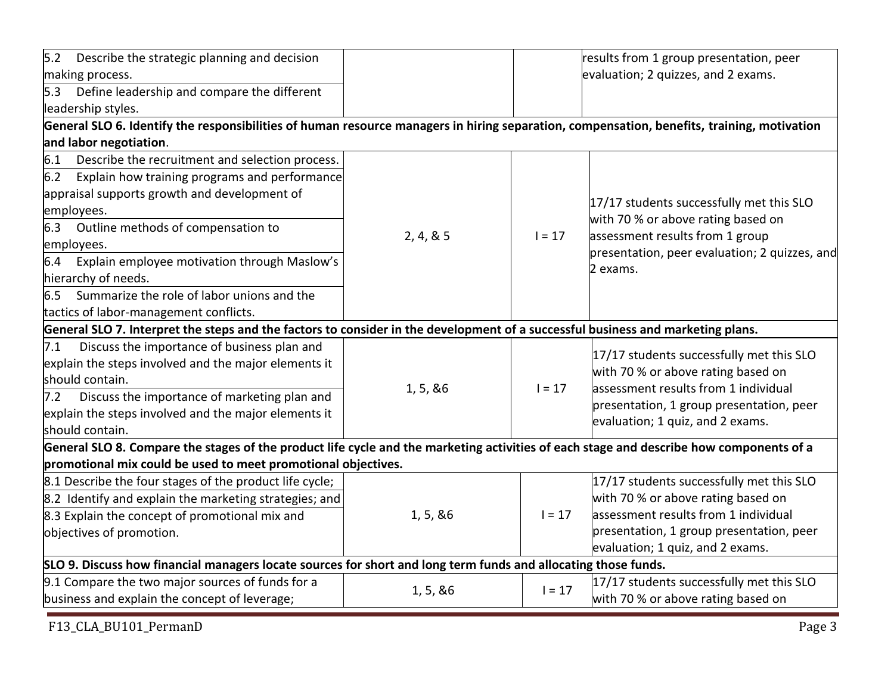| 5.2 Describe the strategic planning and decision                                                                                           |            |          | results from 1 group presentation, peer                                                                                            |  |
|--------------------------------------------------------------------------------------------------------------------------------------------|------------|----------|------------------------------------------------------------------------------------------------------------------------------------|--|
| making process.                                                                                                                            |            |          | evaluation; 2 quizzes, and 2 exams.                                                                                                |  |
| Define leadership and compare the different<br>5.3                                                                                         |            |          |                                                                                                                                    |  |
| leadership styles.                                                                                                                         |            |          |                                                                                                                                    |  |
| General SLO 6. Identify the responsibilities of human resource managers in hiring separation, compensation, benefits, training, motivation |            |          |                                                                                                                                    |  |
| and labor negotiation.                                                                                                                     |            |          |                                                                                                                                    |  |
| 6.1<br>Describe the recruitment and selection process.                                                                                     |            |          |                                                                                                                                    |  |
| Explain how training programs and performance<br>6.2                                                                                       |            |          |                                                                                                                                    |  |
| appraisal supports growth and development of                                                                                               |            |          | 17/17 students successfully met this SLO                                                                                           |  |
| employees.                                                                                                                                 |            |          |                                                                                                                                    |  |
| 6.3 Outline methods of compensation to                                                                                                     | 2, 4, 8, 5 | $I = 17$ | with 70 % or above rating based on<br>assessment results from 1 group<br>presentation, peer evaluation; 2 quizzes, and<br>2 exams. |  |
| employees.                                                                                                                                 |            |          |                                                                                                                                    |  |
| 6.4<br>Explain employee motivation through Maslow's                                                                                        |            |          |                                                                                                                                    |  |
| hierarchy of needs.                                                                                                                        |            |          |                                                                                                                                    |  |
| Summarize the role of labor unions and the<br>6.5                                                                                          |            |          |                                                                                                                                    |  |
| tactics of labor-management conflicts.                                                                                                     |            |          |                                                                                                                                    |  |
| General SLO 7. Interpret the steps and the factors to consider in the development of a successful business and marketing plans.            |            |          |                                                                                                                                    |  |
| Discuss the importance of business plan and<br>7.1                                                                                         |            |          | 17/17 students successfully met this SLO                                                                                           |  |
| explain the steps involved and the major elements it                                                                                       |            |          | with 70 % or above rating based on                                                                                                 |  |
| should contain.                                                                                                                            | 1, 5, 86   | $1 = 17$ | assessment results from 1 individual                                                                                               |  |
| Discuss the importance of marketing plan and<br>7.2                                                                                        |            |          | presentation, 1 group presentation, peer                                                                                           |  |
| explain the steps involved and the major elements it                                                                                       |            |          | evaluation; 1 quiz, and 2 exams.                                                                                                   |  |
| should contain.                                                                                                                            |            |          |                                                                                                                                    |  |
| General SLO 8. Compare the stages of the product life cycle and the marketing activities of each stage and describe how components of a    |            |          |                                                                                                                                    |  |
| promotional mix could be used to meet promotional objectives.                                                                              |            |          |                                                                                                                                    |  |
| 8.1 Describe the four stages of the product life cycle;                                                                                    |            |          | 17/17 students successfully met this SLO                                                                                           |  |
| 8.2 Identify and explain the marketing strategies; and                                                                                     |            |          | with 70 % or above rating based on                                                                                                 |  |
| 8.3 Explain the concept of promotional mix and                                                                                             | 1, 5, &6   | $1 = 17$ | assessment results from 1 individual                                                                                               |  |
| objectives of promotion.                                                                                                                   |            |          | presentation, 1 group presentation, peer                                                                                           |  |
|                                                                                                                                            |            |          | evaluation; 1 quiz, and 2 exams.                                                                                                   |  |
| SLO 9. Discuss how financial managers locate sources for short and long term funds and allocating those funds.                             |            |          |                                                                                                                                    |  |
| 9.1 Compare the two major sources of funds for a                                                                                           | 1, 5, 86   | $1 = 17$ | 17/17 students successfully met this SLO                                                                                           |  |
| business and explain the concept of leverage;                                                                                              |            |          | with 70 % or above rating based on                                                                                                 |  |